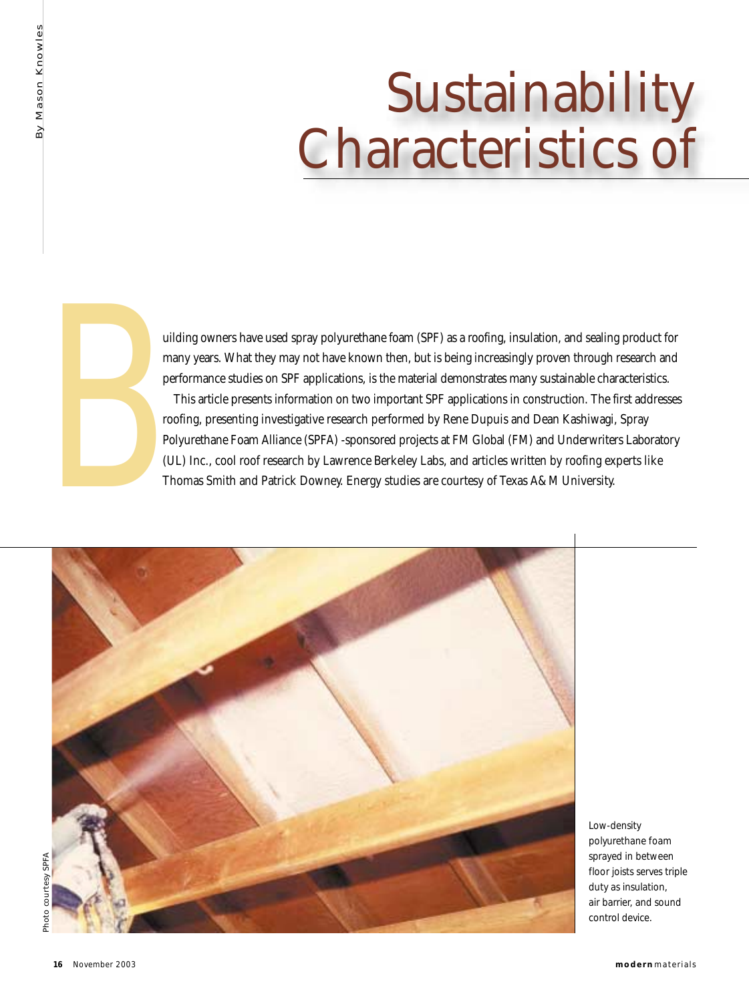# Sustainability Characteristics of



uilding owners have used spray polyurethane foam (SPF) as a roofing, insulation, and sealing product for many years. What they may not have known then, but is being increasingly proven through research and performance studies on SPF applications, is the material demonstrates many sustainable characteristics.

This article presents information on two important SPF applications in construction. The first addresses roofing, presenting investigative research performed by Rene Dupuis and Dean Kashiwagi, Spray Polyurethane Foam Alliance (SPFA) -sponsored projects at FM Global (FM) and Underwriters Laboratory Ulding owners have used spray polyurethane foam (SPF) as a roofing, insulation, and sealing product many years. What they may not have known then, but is being increasingly proven through research performance studies on SP



Low-density polyurethane foam sprayed in between floor joists serves triple duty as insulation, air barrier, and sound control device.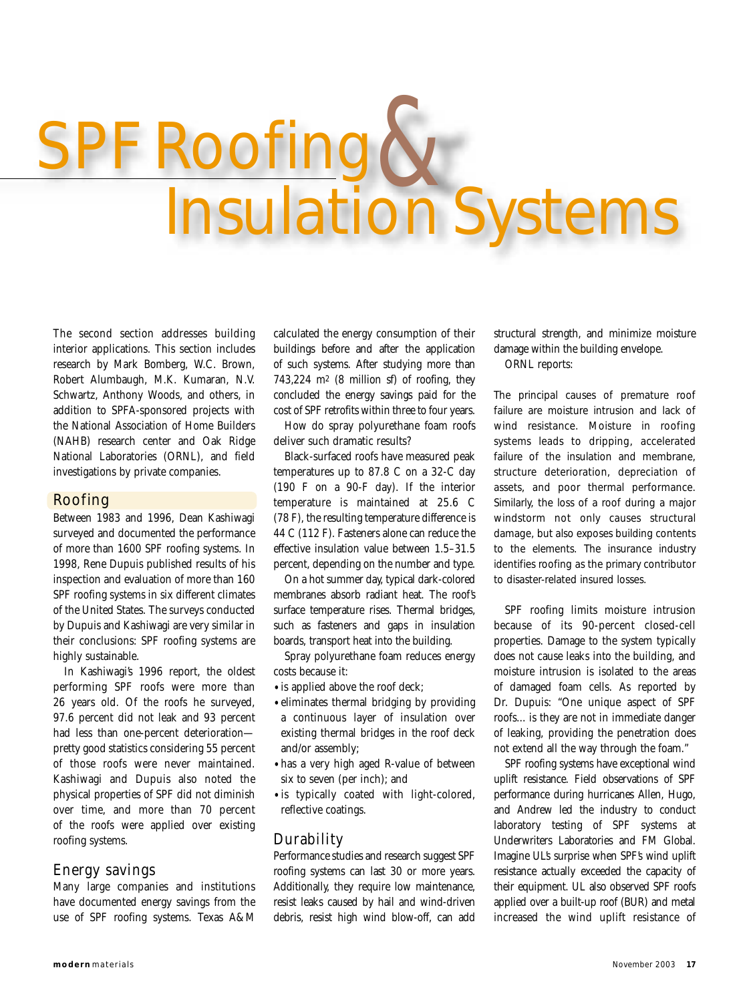# 't Roofin Insulation

The second section addresses building interior applications. This section includes research by Mark Bomberg, W.C. Brown, Robert Alumbaugh, M.K. Kumaran, N.V. Schwartz, Anthony Woods, and others, in addition to SPFA-sponsored projects with the National Association of Home Builders (NAHB) research center and Oak Ridge National Laboratories (ORNL), and field investigations by private companies.

#### Roofing

Between 1983 and 1996, Dean Kashiwagi surveyed and documented the performance of more than 1600 SPF roofing systems. In 1998, Rene Dupuis published results of his inspection and evaluation of more than 160 SPF roofing systems in six different climates of the United States. The surveys conducted by Dupuis and Kashiwagi are very similar in their conclusions: SPF roofing systems are highly sustainable.

In Kashiwagi's 1996 report, the oldest performing SPF roofs were more than 26 years old. Of the roofs he surveyed, 97.6 percent did not leak and 93 percent had less than one-percent deterioration pretty good statistics considering 55 percent of those roofs were never maintained. Kashiwagi and Dupuis also noted the physical properties of SPF did not diminish over time, and more than 70 percent of the roofs were applied over existing roofing systems.

#### Energy savings

Many large companies and institutions have documented energy savings from the use of SPF roofing systems. Texas A&M

calculated the energy consumption of their buildings before and after the application of such systems. After studying more than 743,224 m2 (8 million sf) of roofing, they concluded the energy savings paid for the cost of SPF retrofits within three to four years.

How do spray polyurethane foam roofs deliver such dramatic results?

Black-surfaced roofs have measured peak temperatures up to 87.8 C on a 32-C day (190 F on a 90-F day). If the interior temperature is maintained at 25.6 C (78 F), the resulting temperature difference is 44 C (112 F). Fasteners alone can reduce the effective insulation value between 1.5–31.5 percent, depending on the number and type.

On a hot summer day, typical dark-colored membranes absorb radiant heat. The roof's surface temperature rises. Thermal bridges, such as fasteners and gaps in insulation boards, transport heat into the building.

Spray polyurethane foam reduces energy costs because it:

- •is applied above the roof deck;
- •eliminates thermal bridging by providing a continuous layer of insulation over existing thermal bridges in the roof deck and/or assembly;
- •has a very high aged R-value of between six to seven (per inch); and
- •is typically coated with light-colored, reflective coatings.

#### Durability

Performance studies and research suggest SPF roofing systems can last 30 or more years. Additionally, they require low maintenance, resist leaks caused by hail and wind-driven debris, resist high wind blow-off, can add

structural strength, and minimize moisture damage within the building envelope. ORNL reports:

The principal causes of premature roof failure are moisture intrusion and lack of wind resistance. Moisture in roofing systems leads to dripping, accelerated failure of the insulation and membrane, structure deterioration, depreciation of assets, and poor thermal performance. Similarly, the loss of a roof during a major windstorm not only causes structural damage, but also exposes building contents to the elements. The insurance industry identifies roofing as the primary contributor to disaster-related insured losses.

SPF roofing limits moisture intrusion because of its 90-percent closed-cell properties. Damage to the system typically does not cause leaks into the building, and moisture intrusion is isolated to the areas of damaged foam cells. As reported by Dr. Dupuis: "One unique aspect of SPF roofs... is they are not in immediate danger of leaking, providing the penetration does not extend all the way through the foam."

SPF roofing systems have exceptional wind uplift resistance. Field observations of SPF performance during hurricanes Allen, Hugo, and Andrew led the industry to conduct laboratory testing of SPF systems at Underwriters Laboratories and FM Global. Imagine UL's surprise when SPF's wind uplift resistance actually exceeded the capacity of their equipment. UL also observed SPF roofs applied over a built-up roof (BUR) and metal increased the wind uplift resistance of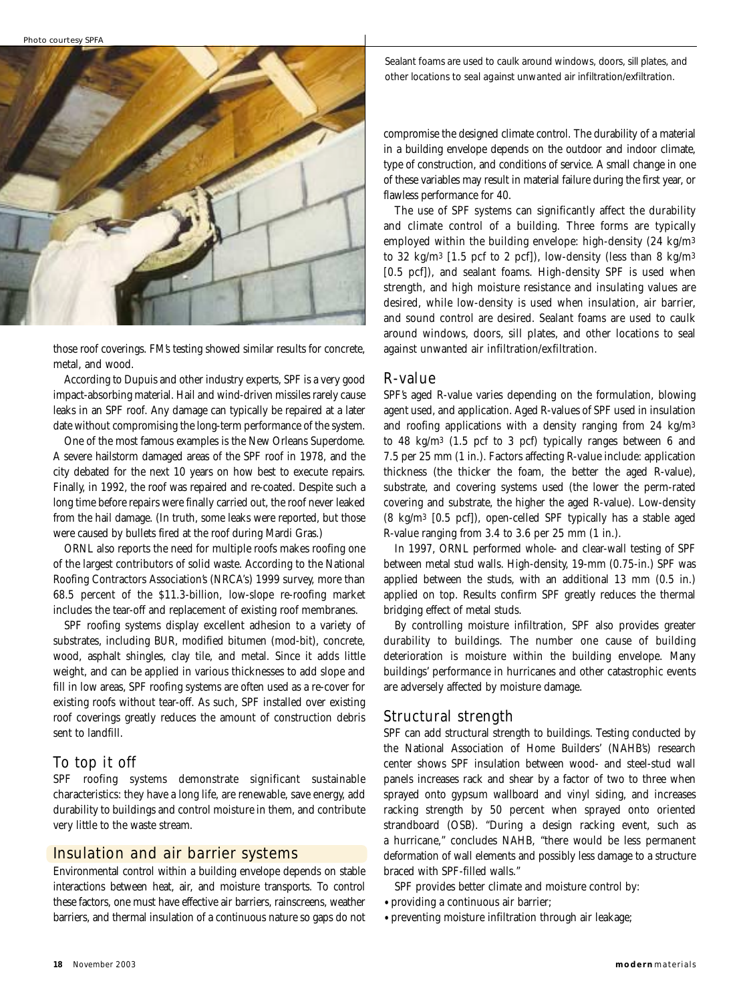

those roof coverings. FM's testing showed similar results for concrete, metal, and wood.

According to Dupuis and other industry experts, SPF is a very good impact-absorbing material. Hail and wind-driven missiles rarely cause leaks in an SPF roof. Any damage can typically be repaired at a later date without compromising the long-term performance of the system.

One of the most famous examples is the New Orleans Superdome. A severe hailstorm damaged areas of the SPF roof in 1978, and the city debated for the next 10 years on how best to execute repairs. Finally, in 1992, the roof was repaired and re-coated. Despite such a long time before repairs were finally carried out, the roof never leaked from the hail damage. (In truth, some leaks were reported, but those were caused by bullets fired at the roof during Mardi Gras.)

ORNL also reports the need for multiple roofs makes roofing one of the largest contributors of solid waste. According to the National Roofing Contractors Association's (NRCA's) 1999 survey, more than 68.5 percent of the \$11.3-billion, low-slope re-roofing market includes the tear-off and replacement of existing roof membranes.

SPF roofing systems display excellent adhesion to a variety of substrates, including BUR, modified bitumen (mod-bit), concrete, wood, asphalt shingles, clay tile, and metal. Since it adds little weight, and can be applied in various thicknesses to add slope and fill in low areas, SPF roofing systems are often used as a re-cover for existing roofs without tear-off. As such, SPF installed over existing roof coverings greatly reduces the amount of construction debris sent to landfill.

#### To top it off

SPF roofing systems demonstrate significant sustainable characteristics: they have a long life, are renewable, save energy, add durability to buildings and control moisture in them, and contribute very little to the waste stream.

#### Insulation and air barrier systems

Environmental control within a building envelope depends on stable interactions between heat, air, and moisture transports. To control these factors, one must have effective air barriers, rainscreens, weather barriers, and thermal insulation of a continuous nature so gaps do not Sealant foams are used to caulk around windows, doors, sill plates, and other locations to seal against unwanted air infiltration/exfiltration.

compromise the designed climate control. The durability of a material in a building envelope depends on the outdoor and indoor climate, type of construction, and conditions of service. A small change in one of these variables may result in material failure during the first year, or flawless performance for 40.

The use of SPF systems can significantly affect the durability and climate control of a building. Three forms are typically employed within the building envelope: high-density (24 kg/m3 to 32 kg/m3 [1.5 pcf to 2 pcf]), low-density (less than 8 kg/m3 [0.5 pcf]), and sealant foams. High-density SPF is used when strength, and high moisture resistance and insulating values are desired, while low-density is used when insulation, air barrier, and sound control are desired. Sealant foams are used to caulk around windows, doors, sill plates, and other locations to seal against unwanted air infiltration/exfiltration.

#### R-value

SPF's aged R-value varies depending on the formulation, blowing agent used, and application. Aged R-values of SPF used in insulation and roofing applications with a density ranging from 24 kg/m3 to 48 kg/m3 (1.5 pcf to 3 pcf) typically ranges between 6 and 7.5 per 25 mm (1 in.). Factors affecting R-value include: application thickness (the thicker the foam, the better the aged R-value), substrate, and covering systems used (the lower the perm-rated covering and substrate, the higher the aged R-value). Low-density (8 kg/m3 [0.5 pcf]), open-celled SPF typically has a stable aged R-value ranging from 3.4 to 3.6 per 25 mm (1 in.).

In 1997, ORNL performed whole- and clear-wall testing of SPF between metal stud walls. High-density, 19-mm (0.75-in.) SPF was applied between the studs, with an additional 13 mm (0.5 in.) applied on top. Results confirm SPF greatly reduces the thermal bridging effect of metal studs.

By controlling moisture infiltration, SPF also provides greater durability to buildings. The number one cause of building deterioration is moisture within the building envelope. Many buildings' performance in hurricanes and other catastrophic events are adversely affected by moisture damage.

#### Structural strength

SPF can add structural strength to buildings. Testing conducted by the National Association of Home Builders' (NAHB's) research center shows SPF insulation between wood- and steel-stud wall panels increases rack and shear by a factor of two to three when sprayed onto gypsum wallboard and vinyl siding, and increases racking strength by 50 percent when sprayed onto oriented strandboard (OSB). "During a design racking event, such as a hurricane," concludes NAHB, "there would be less permanent deformation of wall elements and possibly less damage to a structure braced with SPF-filled walls."

SPF provides better climate and moisture control by:

- •providing a continuous air barrier;
- •preventing moisture infiltration through air leakage;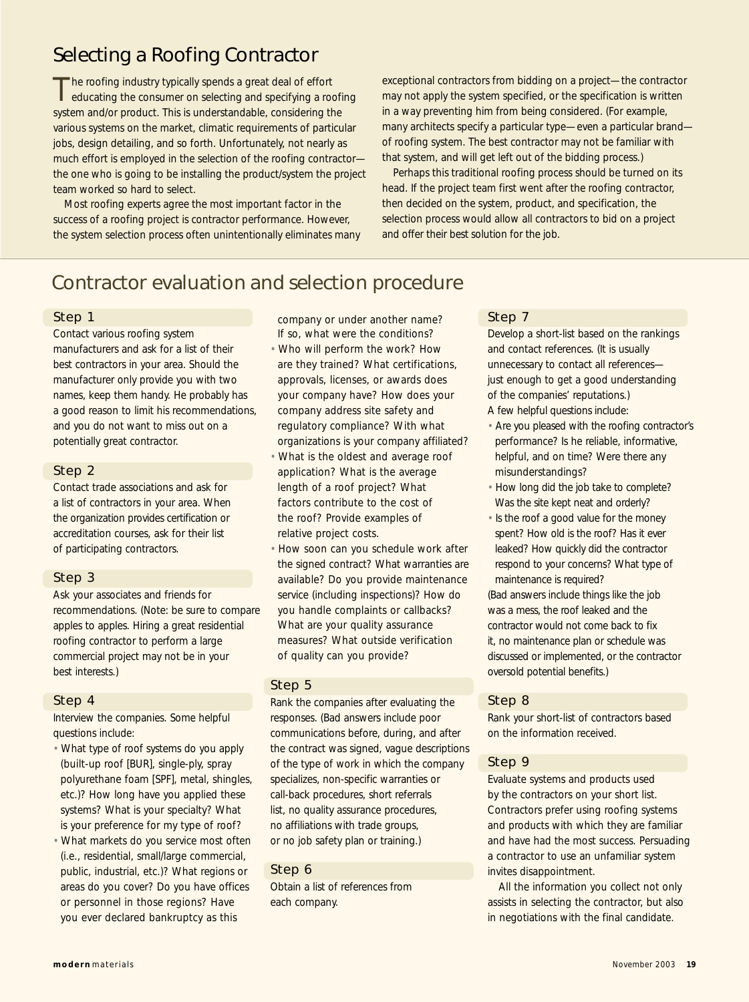## Selecting a Roofing Contractor

The roofing industry typically spends a great deal of effort<br>
educating the consumer on selecting and specifying a roofing system and/or product. This is understandable, considering the various systems on the market, climatic requirements of particular jobs, design detailing, and so forth. Unfortunately, not nearly as much effort is employed in the selection of the roofing contractor the one who is going to be installing the product/system the project team worked so hard to select.

Most roofing experts agree the most important factor in the success of a roofing project is contractor performance. However, the system selection process often unintentionally eliminates many exceptional contractors from bidding on a project—the contractor may not apply the system specified, or the specification is written in a way preventing him from being considered. (For example, many architects specify a particular type—even a particular brand of roofing system. The best contractor may not be familiar with that system, and will get left out of the bidding process.)

Perhaps this traditional roofing process should be turned on its head. If the project team first went after the roofing contractor, then decided on the system, product, and specification, the selection process would allow all contractors to bid on a project and offer their best solution for the job.

### Contractor evaluation and selection procedure

#### Step 1

Contact various roofing system manufacturers and ask for a list of their best contractors in your area. Should the manufacturer only provide you with two names, keep them handy. He probably has a good reason to limit his recommendations, and you do not want to miss out on a potentially great contractor.

#### Step 2

Contact trade associations and ask for a list of contractors in your area. When the organization provides certification or accreditation courses, ask for their list of participating contractors.

#### Step 3

Ask your associates and friends for recommendations. (Note: be sure to compare apples to apples. Hiring a great residential roofing contractor to perform a large commercial project may not be in your best interests.)

#### Step 4

Interview the companies. Some helpful questions include:

- What type of roof systems do you apply (built-up roof [BUR], single-ply, spray polyurethane foam [SPF], metal, shingles, etc.)? How long have you applied these systems? What is your specialty? What is your preference for my type of roof?
- What markets do you service most often (*i.e.,* residential, small/large commercial, public, industrial, etc.)? What regions or areas do you cover? Do you have offices or personnel in those regions? Have you ever declared bankruptcy as this

company or under another name? If so, what were the conditions?

- Who will perform the work? How are they trained? What certifications, approvals, licenses, or awards does your company have? How does your company address site safety and regulatory compliance? With what organizations is your company affiliated?
- What is the oldest and average roof application? What is the average length of a roof project? What factors contribute to the cost of the roof? Provide examples of relative project costs.
- How soon can you schedule work after the signed contract? What warranties are available? Do you provide maintenance service (including inspections)? How do you handle complaints or callbacks? What are your quality assurance measures? What outside verification of quality can you provide?

#### Step 5

Rank the companies after evaluating the responses. (Bad answers include poor communications before, during, and after the contract was signed, vague descriptions of the type of work in which the company specializes, non-specific warranties or call-back procedures, short referrals list, no quality assurance procedures, no affiliations with trade groups, or no job safety plan or training.)

#### Step 6

Obtain a list of references from each company.

#### Step 7

Develop a short-list based on the rankings and contact references. (It is usually unnecessary to contact all references just enough to get a good understanding of the companies' reputations.) A few helpful questions include:

- Are you pleased with the roofing contractor's performance? Is he reliable, informative, helpful, and on time? Were there any misunderstandings?
- How long did the job take to complete? Was the site kept neat and orderly?
- Is the roof a good value for the money spent? How old is the roof? Has it ever leaked? How quickly did the contractor respond to your concerns? What type of maintenance is required?

(Bad answers include things like the job was a mess, the roof leaked and the contractor would not come back to fix it, no maintenance plan or schedule was discussed or implemented, or the contractor oversold potential benefits.)

#### Step 8

Rank your short-list of contractors based on the information received.

#### Step 9

Evaluate systems and products used by the contractors on your short list. Contractors prefer using roofing systems and products with which they are familiar and have had the most success. Persuading a contractor to use an unfamiliar system invites disappointment.

All the information you collect not only assists in selecting the contractor, but also in negotiations with the final candidate.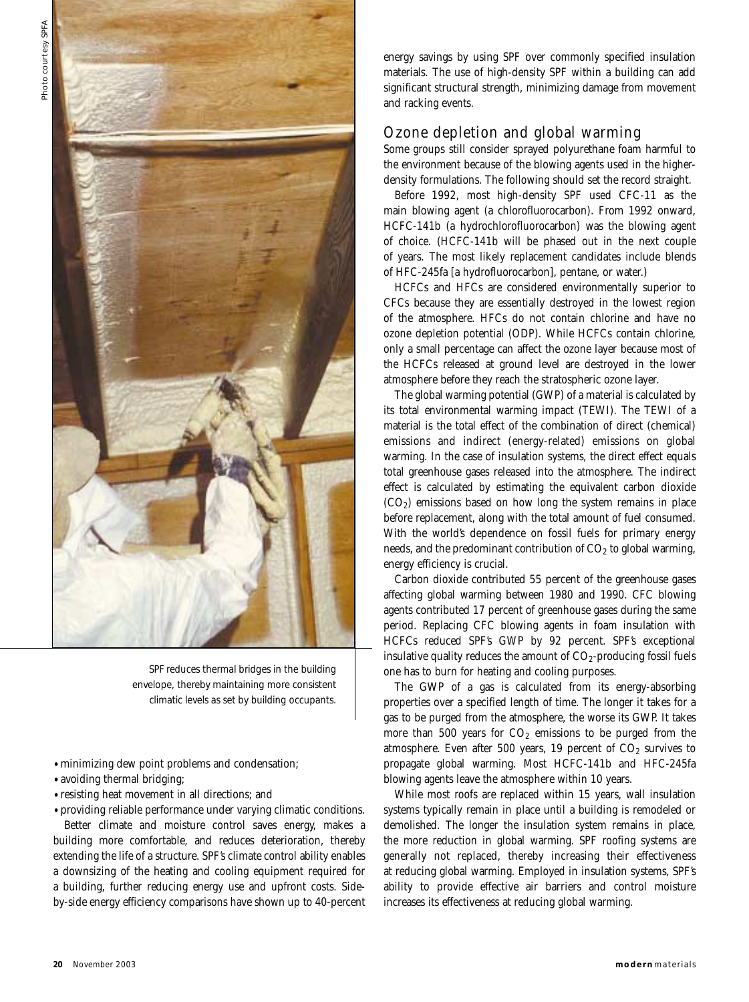

SPF reduces thermal bridges in the building envelope, thereby maintaining more consistent climatic levels as set by building occupants.

- •minimizing dew point problems and condensation;
- •avoiding thermal bridging;
- •resisting heat movement in all directions; and

•providing reliable performance under varying climatic conditions. Better climate and moisture control saves energy, makes a building more comfortable, and reduces deterioration, thereby extending the life of a structure. SPF's climate control ability enables a downsizing of the heating and cooling equipment required for a building, further reducing energy use and upfront costs. Sideby-side energy efficiency comparisons have shown up to 40-percent energy savings by using SPF over commonly specified insulation materials. The use of high-density SPF within a building can add significant structural strength, minimizing damage from movement and racking events.

#### Ozone depletion and global warming

Some groups still consider sprayed polyurethane foam harmful to the environment because of the blowing agents used in the higherdensity formulations. The following should set the record straight.

Before 1992, most high-density SPF used CFC-11 as the main blowing agent (a chlorofluorocarbon). From 1992 onward, HCFC-141b (a hydrochlorofluorocarbon) was the blowing agent of choice. (HCFC-141b will be phased out in the next couple of years. The most likely replacement candidates include blends of HFC-245fa [a hydrofluorocarbon], pentane, or water.)

HCFCs and HFCs are considered environmentally superior to CFCs because they are essentially destroyed in the lowest region of the atmosphere. HFCs do not contain chlorine and have no ozone depletion potential (ODP). While HCFCs contain chlorine, only a small percentage can affect the ozone layer because most of the HCFCs released at ground level are destroyed in the lower atmosphere before they reach the stratospheric ozone layer.

The global warming potential (GWP) of a material is calculated by its total environmental warming impact (TEWI). The TEWI of a material is the total effect of the combination of direct (chemical) emissions and indirect (energy-related) emissions on global warming. In the case of insulation systems, the direct effect equals total greenhouse gases released into the atmosphere. The indirect effect is calculated by estimating the equivalent carbon dioxide  $(CO<sub>2</sub>)$  emissions based on how long the system remains in place before replacement, along with the total amount of fuel consumed. With the world's dependence on fossil fuels for primary energy needs, and the predominant contribution of  $CO<sub>2</sub>$  to global warming, energy efficiency is crucial.

Carbon dioxide contributed 55 percent of the greenhouse gases affecting global warming between 1980 and 1990. CFC blowing agents contributed 17 percent of greenhouse gases during the same period. Replacing CFC blowing agents in foam insulation with HCFCs reduced SPF's GWP by 92 percent. SPF's exceptional insulative quality reduces the amount of  $CO<sub>2</sub>$ -producing fossil fuels one has to burn for heating and cooling purposes.

The GWP of a gas is calculated from its energy-absorbing properties over a specified length of time. The longer it takes for a gas to be purged from the atmosphere, the worse its GWP. It takes more than 500 years for  $CO<sub>2</sub>$  emissions to be purged from the atmosphere. Even after 500 years, 19 percent of  $CO<sub>2</sub>$  survives to propagate global warming. Most HCFC-141b and HFC-245fa blowing agents leave the atmosphere within 10 years.

While most roofs are replaced within 15 years, wall insulation systems typically remain in place until a building is remodeled or demolished. The longer the insulation system remains in place, the more reduction in global warming. SPF roofing systems are generally not replaced, thereby increasing their effectiveness at reducing global warming. Employed in insulation systems, SPF's ability to provide effective air barriers and control moisture increases its effectiveness at reducing global warming.